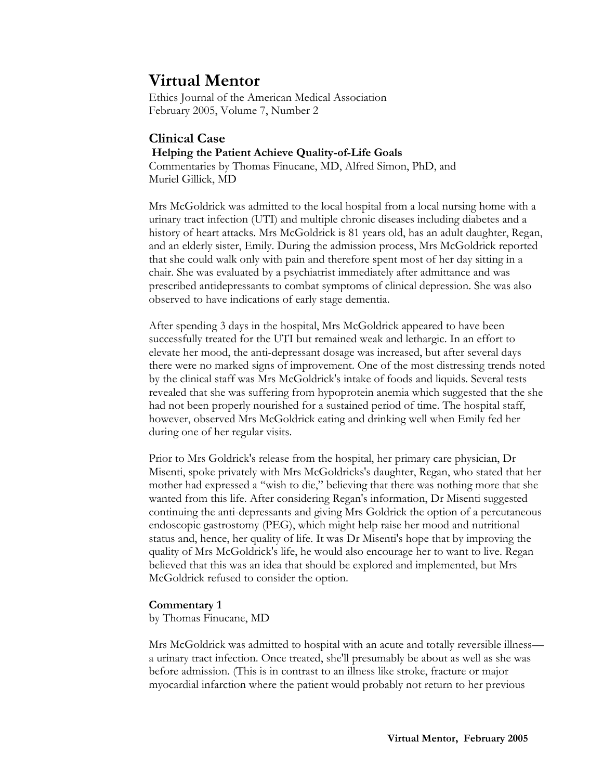**Virtual Mentor**<br>Ethics Journal of the American Medical Association February 2005, Volume 7, Number 2

# **Clinical Case Helping the Patient Achieve Quality-of-Life Goals**

Commentaries by Thomas Finucane, MD, Alfred Simon, PhD, and Muriel Gillick, MD

Mrs McGoldrick was admitted to the local hospital from a local nursing home with a urinary tract infection (UTI) and multiple chronic diseases including diabetes and a history of heart attacks. Mrs McGoldrick is 81 years old, has an adult daughter, Regan, and an elderly sister, Emily. During the admission process, Mrs McGoldrick reported that she could walk only with pain and therefore spent most of her day sitting in a chair. She was evaluated by a psychiatrist immediately after admittance and was prescribed antidepressants to combat symptoms of clinical depression. She was also observed to have indications of early stage dementia.

After spending 3 days in the hospital, Mrs McGoldrick appeared to have been successfully treated for the UTI but remained weak and lethargic. In an effort to elevate her mood, the anti-depressant dosage was increased, but after several days there were no marked signs of improvement. One of the most distressing trends noted by the clinical staff was Mrs McGoldrick's intake of foods and liquids. Several tests revealed that she was suffering from hypoprotein anemia which suggested that the she had not been properly nourished for a sustained period of time. The hospital staff, however, observed Mrs McGoldrick eating and drinking well when Emily fed her during one of her regular visits.

Prior to Mrs Goldrick's release from the hospital, her primary care physician, Dr Misenti, spoke privately with Mrs McGoldricks's daughter, Regan, who stated that her mother had expressed a "wish to die," believing that there was nothing more that she wanted from this life. After considering Regan's information, Dr Misenti suggested continuing the anti-depressants and giving Mrs Goldrick the option of a percutaneous endoscopic gastrostomy (PEG), which might help raise her mood and nutritional status and, hence, her quality of life. It was Dr Misenti's hope that by improving the quality of Mrs McGoldrick's life, he would also encourage her to want to live. Regan believed that this was an idea that should be explored and implemented, but Mrs McGoldrick refused to consider the option.

## **Commentary 1**

by Thomas Finucane, MD

Mrs McGoldrick was admitted to hospital with an acute and totally reversible illness a urinary tract infection. Once treated, she'll presumably be about as well as she was before admission. (This is in contrast to an illness like stroke, fracture or major myocardial infarction where the patient would probably not return to her previous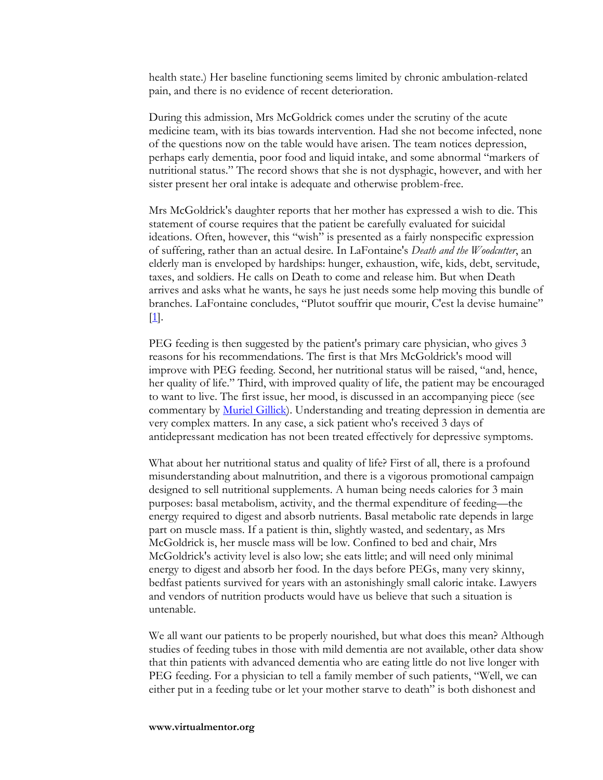health state.) Her baseline functioning seems limited by chronic ambulation-related pain, and there is no evidence of recent deterioration.

During this admission, Mrs McGoldrick comes under the scrutiny of the acute medicine team, with its bias towards intervention. Had she not become infected, none of the questions now on the table would have arisen. The team notices depression, perhaps early dementia, poor food and liquid intake, and some abnormal "markers of nutritional status." The record shows that she is not dysphagic, however, and with her sister present her oral intake is adequate and otherwise problem-free.

Mrs McGoldrick's daughter reports that her mother has expressed a wish to die. This statement of course requires that the patient be carefully evaluated for suicidal ideations. Often, however, this "wish" is presented as a fairly nonspecific expression of suffering, rather than an actual desire. In LaFontaine's *Death and the Woodcutter*, an elderly man is enveloped by hardships: hunger, exhaustion, wife, kids, debt, servitude, taxes, and soldiers. He calls on Death to come and release him. But when Death arrives and asks what he wants, he says he just needs some help moving this bundle of branches. LaFontaine concludes, "Plutot souffrir que mourir, C'est la devise humaine" [1].

PEG feeding is then suggested by the patient's primary care physician, who gives 3 reasons for his recommendations. The first is that Mrs McGoldrick's mood will improve with PEG feeding. Second, her nutritional status will be raised, "and, hence, her quality of life." Third, with improved quality of life, the patient may be encouraged to want to live. The first issue, her mood, is discussed in an accompanying piece (see commentary by Muriel Gillick). Understanding and treating depression in dementia are very complex matters. In any case, a sick patient who's received 3 days of antidepressant medication has not been treated effectively for depressive symptoms.

What about her nutritional status and quality of life? First of all, there is a profound misunderstanding about malnutrition, and there is a vigorous promotional campaign designed to sell nutritional supplements. A human being needs calories for 3 main purposes: basal metabolism, activity, and the thermal expenditure of feeding—the energy required to digest and absorb nutrients. Basal metabolic rate depends in large part on muscle mass. If a patient is thin, slightly wasted, and sedentary, as Mrs McGoldrick is, her muscle mass will be low. Confined to bed and chair, Mrs McGoldrick's activity level is also low; she eats little; and will need only minimal energy to digest and absorb her food. In the days before PEGs, many very skinny, bedfast patients survived for years with an astonishingly small caloric intake. Lawyers and vendors of nutrition products would have us believe that such a situation is untenable.

We all want our patients to be properly nourished, but what does this mean? Although studies of feeding tubes in those with mild dementia are not available, other data show that thin patients with advanced dementia who are eating little do not live longer with PEG feeding. For a physician to tell a family member of such patients, "Well, we can either put in a feeding tube or let your mother starve to death" is both dishonest and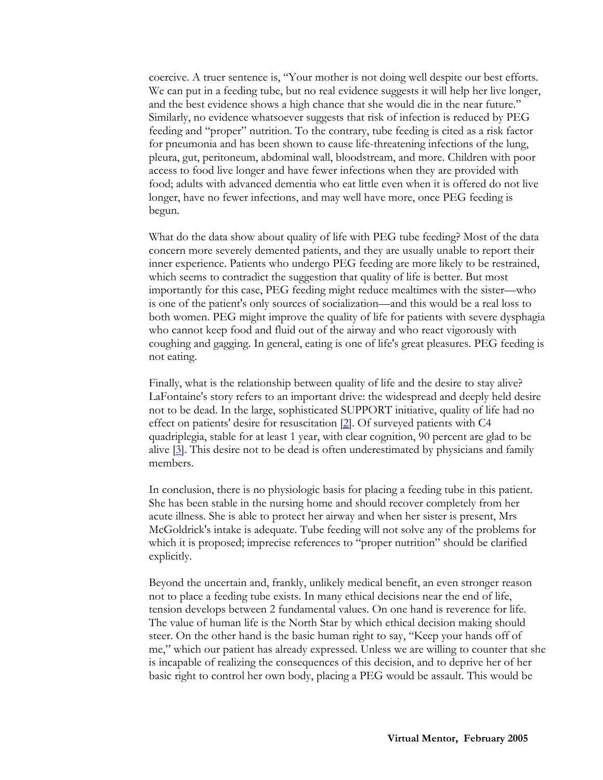coercive. A truer sentence is, "Your mother is not doing well despite our best efforts. We can put in a feeding tube, but no real evidence suggests it will help her live longer, and the best evidence shows a high chance that she would die in the near future." Similarly, no evidence whatsoever suggests that risk of infection is reduced by PEG feeding and "proper" nutrition. To the contrary, tube feeding is cited as a risk factor for pneumonia and has been shown to cause life-threatening infections of the lung, pleura, gut, peritoneum, abdominal wall, bloodstream, and more. Children with poor access to food live longer and have fewer infections when they are provided with food; adults with advanced dementia who eat little even when it is offered do not live longer, have no fewer infections, and may well have more, once PEG feeding is begun.

What do the data show about quality of life with PEG tube feeding? Most of the data concern more severely demented patients, and they are usually unable to report their inner experience. Patients who undergo PEG feeding are more likely to be restrained, which seems to contradict the suggestion that quality of life is better. But most importantly for this case, PEG feeding might reduce mealtimes with the sister—who is one of the patient's only sources of socialization—and this would be a real loss to both women. PEG might improve the quality of life for patients with severe dysphagia who cannot keep food and fluid out of the airway and who react vigorously with coughing and gagging. In general, eating is one of life's great pleasures. PEG feeding is not eating.

Finally, what is the relationship between quality of life and the desire to stay alive? LaFontaine's story refers to an important drive: the widespread and deeply held desire not to be dead. In the large, sophisticated SUPPORT initiative, quality of life had no effect on patients' desire for resuscitation [2]. Of surveyed patients with C4 quadriplegia, stable for at least 1 year, with clear cognition, 90 percent are glad to be alive [3]. This desire not to be dead is often underestimated by physicians and family members.

In conclusion, there is no physiologic basis for placing a feeding tube in this patient. She has been stable in the nursing home and should recover completely from her acute illness. She is able to protect her airway and when her sister is present, Mrs McGoldrick's intake is adequate. Tube feeding will not solve any of the problems for which it is proposed; imprecise references to "proper nutrition" should be clarified explicitly.

Beyond the uncertain and, frankly, unlikely medical benefit, an even stronger reason not to place a feeding tube exists. In many ethical decisions near the end of life, tension develops between 2 fundamental values. On one hand is reverence for life. The value of human life is the North Star by which ethical decision making should steer. On the other hand is the basic human right to say, "Keep your hands off of me," which our patient has already expressed. Unless we are willing to counter that she is incapable of realizing the consequences of this decision, and to deprive her of her basic right to control her own body, placing a PEG would be assault. This would be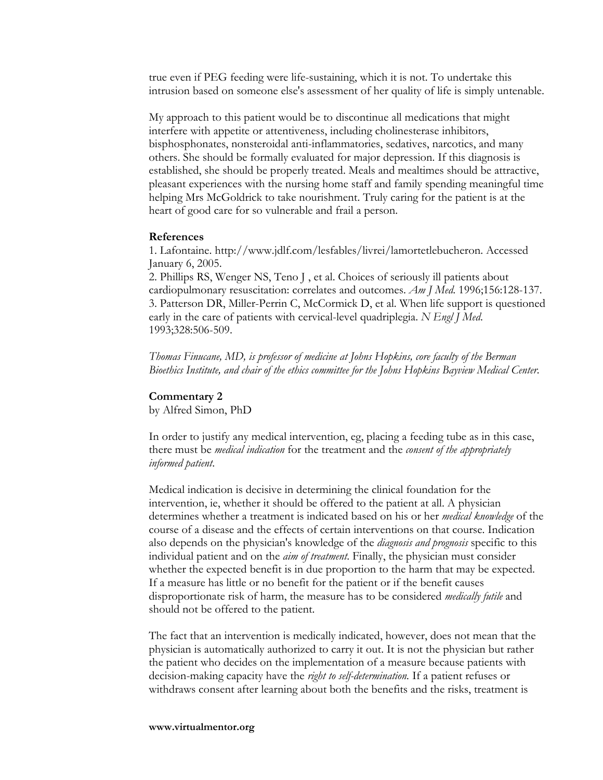true even if PEG feeding were life-sustaining, which it is not. To undertake this intrusion based on someone else's assessment of her quality of life is simply untenable.

My approach to this patient would be to discontinue all medications that might interfere with appetite or attentiveness, including cholinesterase inhibitors, bisphosphonates, nonsteroidal anti-inflammatories, sedatives, narcotics, and many others. She should be formally evaluated for major depression. If this diagnosis is established, she should be properly treated. Meals and mealtimes should be attractive, pleasant experiences with the nursing home staff and family spending meaningful time helping Mrs McGoldrick to take nourishment. Truly caring for the patient is at the heart of good care for so vulnerable and frail a person.

#### **References**

1. Lafontaine. http://www.jdlf.com/lesfables/livrei/lamortetlebucheron. Accessed January 6, 2005.

2. Phillips RS, Wenger NS, Teno J , et al. Choices of seriously ill patients about cardiopulmonary resuscitation: correlates and outcomes. *Am J Med*. 1996;156:128-137. 3. Patterson DR, Miller-Perrin C, McCormick D, et al. When life support is questioned early in the care of patients with cervical-level quadriplegia. *N Engl J Med*. 1993;328:506-509.

*Thomas Finucane, MD, is professor of medicine at Johns Hopkins, core faculty of the Berman Bioethics Institute, and chair of the ethics committee for the Johns Hopkins Bayview Medical Center.*

#### **Commentary 2**

by Alfred Simon, PhD

In order to justify any medical intervention, eg, placing a feeding tube as in this case, there must be *medical indication* for the treatment and the *consent of the appropriately informed patient*.

Medical indication is decisive in determining the clinical foundation for the intervention, ie, whether it should be offered to the patient at all. A physician determines whether a treatment is indicated based on his or her *medical knowledge* of the course of a disease and the effects of certain interventions on that course. Indication also depends on the physician's knowledge of the *diagnosis and prognosis* specific to this individual patient and on the *aim of treatment*. Finally, the physician must consider whether the expected benefit is in due proportion to the harm that may be expected. If a measure has little or no benefit for the patient or if the benefit causes disproportionate risk of harm, the measure has to be considered *medically futile* and should not be offered to the patient.

The fact that an intervention is medically indicated, however, does not mean that the physician is automatically authorized to carry it out. It is not the physician but rather the patient who decides on the implementation of a measure because patients with decision-making capacity have the *right to self-determination.* If a patient refuses or withdraws consent after learning about both the benefits and the risks, treatment is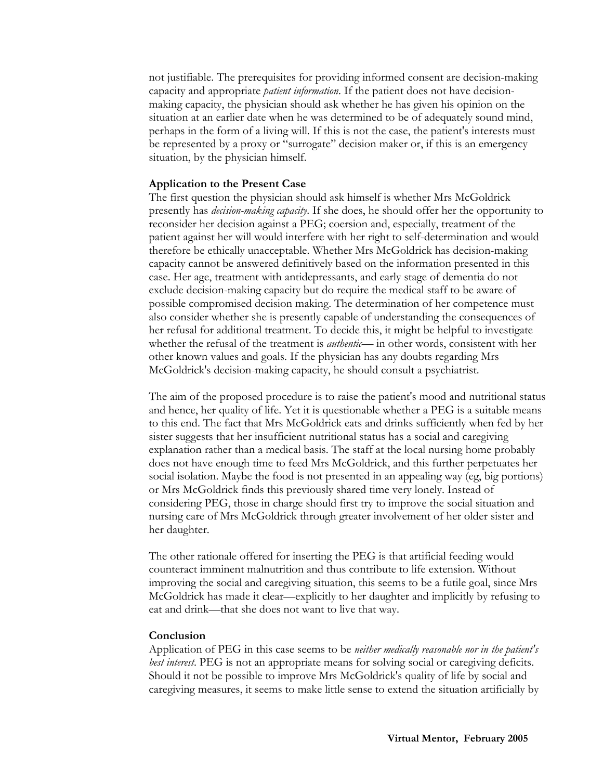not justifiable. The prerequisites for providing informed consent are decision-making capacity and appropriate *patient information*. If the patient does not have decisionmaking capacity, the physician should ask whether he has given his opinion on the situation at an earlier date when he was determined to be of adequately sound mind, perhaps in the form of a living will. If this is not the case, the patient's interests must be represented by a proxy or "surrogate" decision maker or, if this is an emergency situation, by the physician himself.

### **Application to the Present Case**

The first question the physician should ask himself is whether Mrs McGoldrick presently has *decision-making capacity*. If she does, he should offer her the opportunity to reconsider her decision against a PEG; coersion and, especially, treatment of the patient against her will would interfere with her right to self-determination and would therefore be ethically unacceptable. Whether Mrs McGoldrick has decision-making capacity cannot be answered definitively based on the information presented in this case. Her age, treatment with antidepressants, and early stage of dementia do not exclude decision-making capacity but do require the medical staff to be aware of possible compromised decision making. The determination of her competence must also consider whether she is presently capable of understanding the consequences of her refusal for additional treatment. To decide this, it might be helpful to investigate whether the refusal of the treatment is *authentic—* in other words, consistent with her other known values and goals. If the physician has any doubts regarding Mrs McGoldrick's decision-making capacity, he should consult a psychiatrist.

The aim of the proposed procedure is to raise the patient's mood and nutritional status and hence, her quality of life. Yet it is questionable whether a PEG is a suitable means to this end. The fact that Mrs McGoldrick eats and drinks sufficiently when fed by her sister suggests that her insufficient nutritional status has a social and caregiving explanation rather than a medical basis. The staff at the local nursing home probably does not have enough time to feed Mrs McGoldrick, and this further perpetuates her social isolation. Maybe the food is not presented in an appealing way (eg, big portions) or Mrs McGoldrick finds this previously shared time very lonely. Instead of considering PEG, those in charge should first try to improve the social situation and nursing care of Mrs McGoldrick through greater involvement of her older sister and her daughter.

The other rationale offered for inserting the PEG is that artificial feeding would counteract imminent malnutrition and thus contribute to life extension. Without improving the social and caregiving situation, this seems to be a futile goal, since Mrs McGoldrick has made it clear—explicitly to her daughter and implicitly by refusing to eat and drink—that she does not want to live that way.

#### **Conclusion**

Application of PEG in this case seems to be *neither medically reasonable nor in the patient's best interest*. PEG is not an appropriate means for solving social or caregiving deficits. Should it not be possible to improve Mrs McGoldrick's quality of life by social and caregiving measures, it seems to make little sense to extend the situation artificially by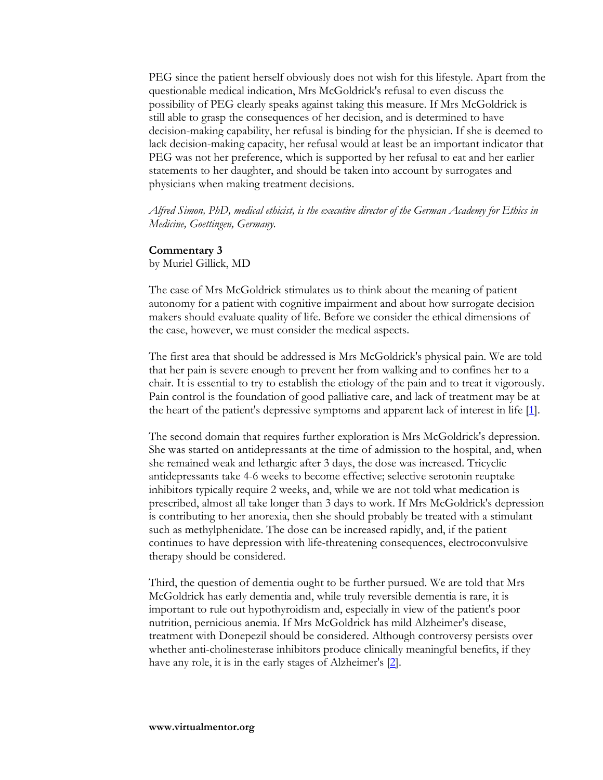PEG since the patient herself obviously does not wish for this lifestyle. Apart from the questionable medical indication, Mrs McGoldrick's refusal to even discuss the possibility of PEG clearly speaks against taking this measure. If Mrs McGoldrick is still able to grasp the consequences of her decision, and is determined to have decision-making capability, her refusal is binding for the physician. If she is deemed to lack decision-making capacity, her refusal would at least be an important indicator that PEG was not her preference, which is supported by her refusal to eat and her earlier statements to her daughter, and should be taken into account by surrogates and physicians when making treatment decisions.

*Alfred Simon, PhD, medical ethicist, is the executive director of the German Academy for Ethics in Medicine, Goettingen, Germany.*

#### **Commentary 3**

by Muriel Gillick, MD

The case of Mrs McGoldrick stimulates us to think about the meaning of patient autonomy for a patient with cognitive impairment and about how surrogate decision makers should evaluate quality of life. Before we consider the ethical dimensions of the case, however, we must consider the medical aspects.

The first area that should be addressed is Mrs McGoldrick's physical pain. We are told that her pain is severe enough to prevent her from walking and to confines her to a chair. It is essential to try to establish the etiology of the pain and to treat it vigorously. Pain control is the foundation of good palliative care, and lack of treatment may be at the heart of the patient's depressive symptoms and apparent lack of interest in life [1].

The second domain that requires further exploration is Mrs McGoldrick's depression. She was started on antidepressants at the time of admission to the hospital, and, when she remained weak and lethargic after 3 days, the dose was increased. Tricyclic antidepressants take 4-6 weeks to become effective; selective serotonin reuptake inhibitors typically require 2 weeks, and, while we are not told what medication is prescribed, almost all take longer than 3 days to work. If Mrs McGoldrick's depression is contributing to her anorexia, then she should probably be treated with a stimulant such as methylphenidate. The dose can be increased rapidly, and, if the patient continues to have depression with life-threatening consequences, electroconvulsive therapy should be considered.

Third, the question of dementia ought to be further pursued. We are told that Mrs McGoldrick has early dementia and, while truly reversible dementia is rare, it is important to rule out hypothyroidism and, especially in view of the patient's poor nutrition, pernicious anemia. If Mrs McGoldrick has mild Alzheimer's disease, treatment with Donepezil should be considered. Although controversy persists over whether anti-cholinesterase inhibitors produce clinically meaningful benefits, if they have any role, it is in the early stages of Alzheimer's [2].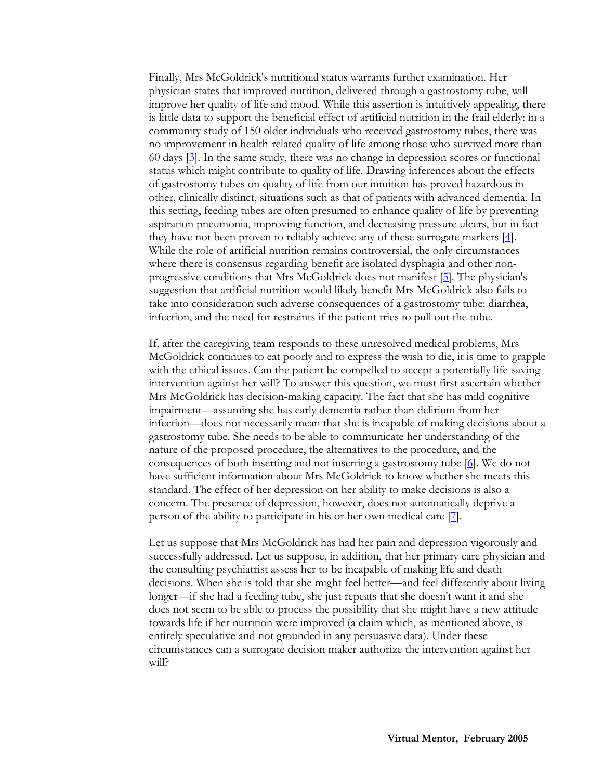Finally, Mrs McGoldrick's nutritional status warrants further examination. Her physician states that improved nutrition, delivered through a gastrostomy tube, will improve her quality of life and mood. While this assertion is intuitively appealing, there is little data to support the beneficial effect of artificial nutrition in the frail elderly: in a community study of 150 older individuals who received gastrostomy tubes, there was no improvement in health-related quality of life among those who survived more than 60 days [3]. In the same study, there was no change in depression scores or functional status which might contribute to quality of life. Drawing inferences about the effects of gastrostomy tubes on quality of life from our intuition has proved hazardous in other, clinically distinct, situations such as that of patients with advanced dementia. In this setting, feeding tubes are often presumed to enhance quality of life by preventing aspiration pneumonia, improving function, and decreasing pressure ulcers, but in fact they have not been proven to reliably achieve any of these surrogate markers [4]. While the role of artificial nutrition remains controversial, the only circumstances where there is consensus regarding benefit are isolated dysphagia and other nonprogressive conditions that Mrs McGoldrick does not manifest [5]. The physician's suggestion that artificial nutrition would likely benefit Mrs McGoldrick also fails to take into consideration such adverse consequences of a gastrostomy tube: diarrhea, infection, and the need for restraints if the patient tries to pull out the tube.

If, after the caregiving team responds to these unresolved medical problems, Mrs McGoldrick continues to eat poorly and to express the wish to die, it is time to grapple with the ethical issues. Can the patient be compelled to accept a potentially life-saving intervention against her will? To answer this question, we must first ascertain whether Mrs McGoldrick has decision-making capacity. The fact that she has mild cognitive impairment—assuming she has early dementia rather than delirium from her infection—does not necessarily mean that she is incapable of making decisions about a gastrostomy tube. She needs to be able to communicate her understanding of the nature of the proposed procedure, the alternatives to the procedure, and the consequences of both inserting and not inserting a gastrostomy tube  $[6]$ . We do not have sufficient information about Mrs McGoldrick to know whether she meets this standard. The effect of her depression on her ability to make decisions is also a concern. The presence of depression, however, does not automatically deprive a person of the ability to participate in his or her own medical care [7].

Let us suppose that Mrs McGoldrick has had her pain and depression vigorously and successfully addressed. Let us suppose, in addition, that her primary care physician and the consulting psychiatrist assess her to be incapable of making life and death decisions. When she is told that she might feel better—and feel differently about living longer—if she had a feeding tube, she just repeats that she doesn't want it and she does not seem to be able to process the possibility that she might have a new attitude towards life if her nutrition were improved (a claim which, as mentioned above, is entirely speculative and not grounded in any persuasive data). Under these circumstances can a surrogate decision maker authorize the intervention against her will?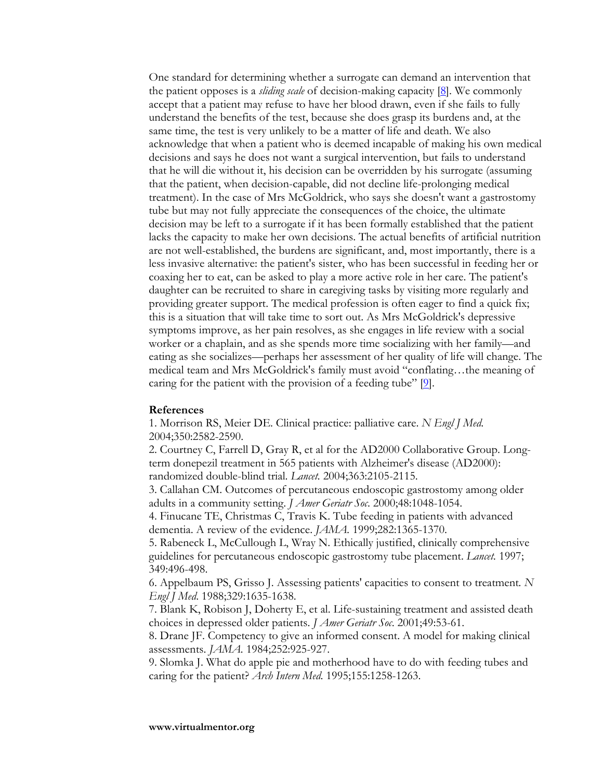One standard for determining whether a surrogate can demand an intervention that the patient opposes is a *sliding scale* of decision-making capacity [8]. We commonly accept that a patient may refuse to have her blood drawn, even if she fails to fully understand the benefits of the test, because she does grasp its burdens and, at the same time, the test is very unlikely to be a matter of life and death. We also acknowledge that when a patient who is deemed incapable of making his own medical decisions and says he does not want a surgical intervention, but fails to understand that he will die without it, his decision can be overridden by his surrogate (assuming that the patient, when decision-capable, did not decline life-prolonging medical treatment). In the case of Mrs McGoldrick, who says she doesn't want a gastrostomy tube but may not fully appreciate the consequences of the choice, the ultimate decision may be left to a surrogate if it has been formally established that the patient lacks the capacity to make her own decisions. The actual benefits of artificial nutrition are not well-established, the burdens are significant, and, most importantly, there is a less invasive alternative: the patient's sister, who has been successful in feeding her or coaxing her to eat, can be asked to play a more active role in her care. The patient's daughter can be recruited to share in caregiving tasks by visiting more regularly and providing greater support. The medical profession is often eager to find a quick fix; this is a situation that will take time to sort out. As Mrs McGoldrick's depressive symptoms improve, as her pain resolves, as she engages in life review with a social worker or a chaplain, and as she spends more time socializing with her family—and eating as she socializes—perhaps her assessment of her quality of life will change. The medical team and Mrs McGoldrick's family must avoid "conflating…the meaning of caring for the patient with the provision of a feeding tube" [9].

#### **References**

1. Morrison RS, Meier DE. Clinical practice: palliative care. *N Engl J Med*. 2004;350:2582-2590.

2. Courtney C, Farrell D, Gray R, et al for the AD2000 Collaborative Group. Longterm donepezil treatment in 565 patients with Alzheimer's disease (AD2000): randomized double-blind trial. *Lancet.* 2004;363:2105-2115.

3. Callahan CM. Outcomes of percutaneous endoscopic gastrostomy among older adults in a community setting. *J Amer Geriatr Soc*. 2000;48:1048-1054.

4. Finucane TE, Christmas C, Travis K. Tube feeding in patients with advanced dementia. A review of the evidence. *JAMA.* 1999;282:1365-1370.

5. Rabeneck L, McCullough L, Wray N. Ethically justified, clinically comprehensive guidelines for percutaneous endoscopic gastrostomy tube placement. *Lancet.* 1997; 349:496-498.

6. Appelbaum PS, Grisso J. Assessing patients' capacities to consent to treatment*. N Engl J Med*. 1988;329:1635-1638.

7. Blank K, Robison J, Doherty E, et al. Life-sustaining treatment and assisted death choices in depressed older patients. *J Amer Geriatr Soc*. 2001;49:53-61.

8. Drane JF. Competency to give an informed consent. A model for making clinical assessments. *JAMA.* 1984;252:925-927.

9. Slomka J. What do apple pie and motherhood have to do with feeding tubes and caring for the patient? *Arch Intern Med*. 1995;155:1258-1263.